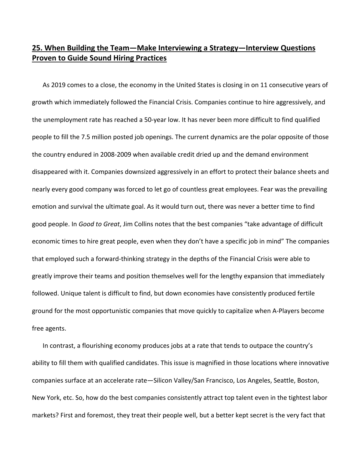# **25. When Building the Team—Make Interviewing a Strategy—Interview Questions Proven to Guide Sound Hiring Practices**

As 2019 comes to a close, the economy in the United States is closing in on 11 consecutive years of growth which immediately followed the Financial Crisis. Companies continue to hire aggressively, and the unemployment rate has reached a 50‐year low. It has never been more difficult to find qualified people to fill the 7.5 million posted job openings. The current dynamics are the polar opposite of those the country endured in 2008‐2009 when available credit dried up and the demand environment disappeared with it. Companies downsized aggressively in an effort to protect their balance sheets and nearly every good company was forced to let go of countless great employees. Fear was the prevailing emotion and survival the ultimate goal. As it would turn out, there was never a better time to find good people. In *Good to Great*, Jim Collins notes that the best companies "take advantage of difficult economic times to hire great people, even when they don't have a specific job in mind" The companies that employed such a forward‐thinking strategy in the depths of the Financial Crisis were able to greatly improve their teams and position themselves well for the lengthy expansion that immediately followed. Unique talent is difficult to find, but down economies have consistently produced fertile ground for the most opportunistic companies that move quickly to capitalize when A‐Players become free agents.

In contrast, a flourishing economy produces jobs at a rate that tends to outpace the country's ability to fill them with qualified candidates. This issue is magnified in those locations where innovative companies surface at an accelerate rate—Silicon Valley/San Francisco, Los Angeles, Seattle, Boston, New York, etc. So, how do the best companies consistently attract top talent even in the tightest labor markets? First and foremost, they treat their people well, but a better kept secret is the very fact that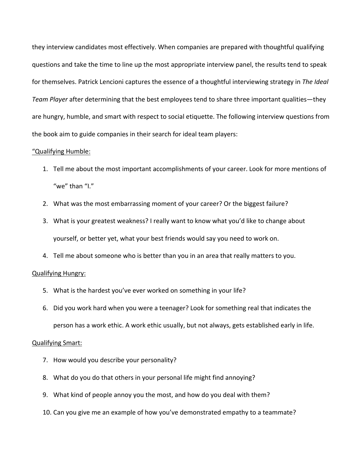they interview candidates most effectively. When companies are prepared with thoughtful qualifying questions and take the time to line up the most appropriate interview panel, the results tend to speak for themselves. Patrick Lencioni captures the essence of a thoughtful interviewing strategy in *The Ideal Team Player* after determining that the best employees tend to share three important qualities—they are hungry, humble, and smart with respect to social etiquette. The following interview questions from the book aim to guide companies in their search for ideal team players:

## "Qualifying Humble:

- 1. Tell me about the most important accomplishments of your career. Look for more mentions of "we" than "I."
- 2. What was the most embarrassing moment of your career? Or the biggest failure?
- 3. What is your greatest weakness? I really want to know what you'd like to change about yourself, or better yet, what your best friends would say you need to work on.
- 4. Tell me about someone who is better than you in an area that really matters to you.

#### Qualifying Hungry:

- 5. What is the hardest you've ever worked on something in your life?
- 6. Did you work hard when you were a teenager? Look for something real that indicates the person has a work ethic. A work ethic usually, but not always, gets established early in life.

#### Qualifying Smart:

- 7. How would you describe your personality?
- 8. What do you do that others in your personal life might find annoying?
- 9. What kind of people annoy you the most, and how do you deal with them?
- 10. Can you give me an example of how you've demonstrated empathy to a teammate?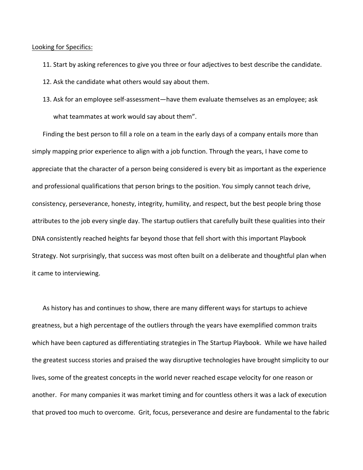### Looking for Specifics:

- 11. Start by asking references to give you three or four adjectives to best describe the candidate.
- 12. Ask the candidate what others would say about them.
- 13. Ask for an employee self‐assessment—have them evaluate themselves as an employee; ask what teammates at work would say about them".

Finding the best person to fill a role on a team in the early days of a company entails more than simply mapping prior experience to align with a job function. Through the years, I have come to appreciate that the character of a person being considered is every bit as important as the experience and professional qualifications that person brings to the position. You simply cannot teach drive, consistency, perseverance, honesty, integrity, humility, and respect, but the best people bring those attributes to the job every single day. The startup outliers that carefully built these qualities into their DNA consistently reached heights far beyond those that fell short with this important Playbook Strategy. Not surprisingly, that success was most often built on a deliberate and thoughtful plan when it came to interviewing.

As history has and continues to show, there are many different ways for startups to achieve greatness, but a high percentage of the outliers through the years have exemplified common traits which have been captured as differentiating strategies in The Startup Playbook. While we have hailed the greatest success stories and praised the way disruptive technologies have brought simplicity to our lives, some of the greatest concepts in the world never reached escape velocity for one reason or another. For many companies it was market timing and for countless others it was a lack of execution that proved too much to overcome. Grit, focus, perseverance and desire are fundamental to the fabric